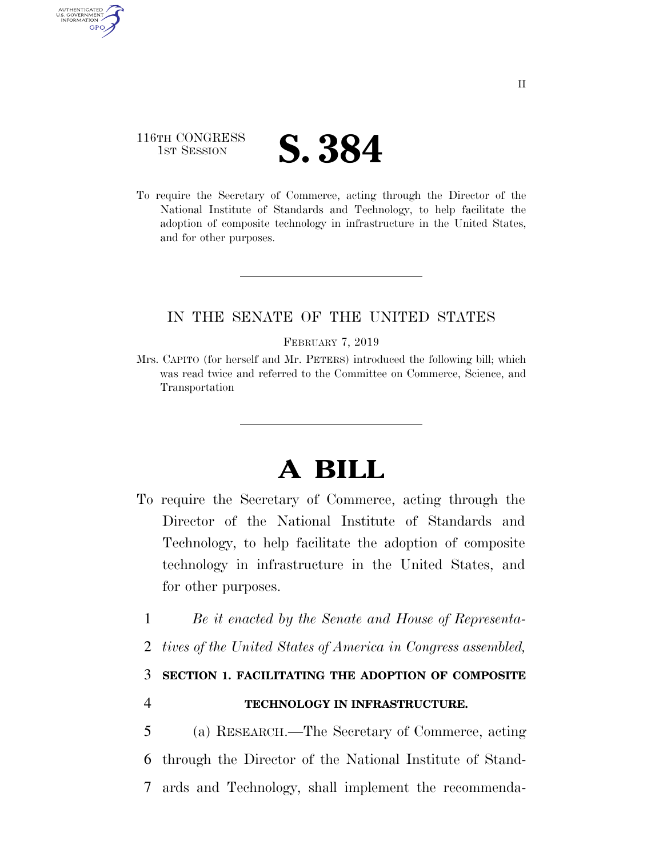## 116TH CONGRESS **1ST SESSION S. 384**

AUTHENTICATED U.S. GOVERNMENT **GPO** 

> To require the Secretary of Commerce, acting through the Director of the National Institute of Standards and Technology, to help facilitate the adoption of composite technology in infrastructure in the United States, and for other purposes.

## IN THE SENATE OF THE UNITED STATES

#### FEBRUARY 7, 2019

Mrs. CAPITO (for herself and Mr. PETERS) introduced the following bill; which was read twice and referred to the Committee on Commerce, Science, and Transportation

# **A BILL**

- To require the Secretary of Commerce, acting through the Director of the National Institute of Standards and Technology, to help facilitate the adoption of composite technology in infrastructure in the United States, and for other purposes.
	- 1 *Be it enacted by the Senate and House of Representa-*
	- 2 *tives of the United States of America in Congress assembled,*

3 **SECTION 1. FACILITATING THE ADOPTION OF COMPOSITE** 

## 4 **TECHNOLOGY IN INFRASTRUCTURE.**

5 (a) RESEARCH.—The Secretary of Commerce, acting 6 through the Director of the National Institute of Stand-7 ards and Technology, shall implement the recommenda-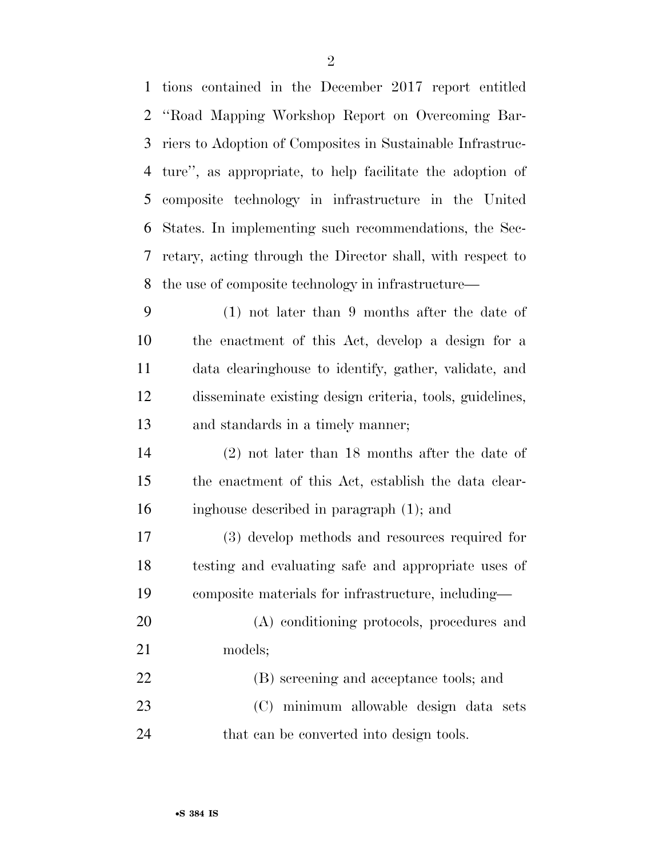| $\mathbf{1}$ | tions contained in the December 2017 report entitled       |
|--------------|------------------------------------------------------------|
| 2            | "Road Mapping Workshop Report on Overcoming Bar-           |
| 3            | riers to Adoption of Composites in Sustainable Infrastruc- |
| 4            | ture", as appropriate, to help facilitate the adoption of  |
| 5            | composite technology in infrastructure in the United       |
| 6            | States. In implementing such recommendations, the Sec-     |
| 7            | retary, acting through the Director shall, with respect to |
| 8            | the use of composite technology in infrastructure—         |
| 9            | $(1)$ not later than 9 months after the date of            |
| 10           | the enactment of this Act, develop a design for a          |
| 11           | data elearinghouse to identify, gather, validate, and      |
| 12           | disseminate existing design criteria, tools, guidelines,   |
| 13           | and standards in a timely manner;                          |
| 14           | $(2)$ not later than 18 months after the date of           |
| 15           | the enactment of this Act, establish the data clear-       |
| 16           | inghouse described in paragraph (1); and                   |
| 17           | (3) develop methods and resources required for             |
| 18           | testing and evaluating safe and appropriate uses of        |
| 19           | composite materials for infrastructure, including—         |
| 20           | (A) conditioning protocols, procedures and                 |
| 21           | models;                                                    |
| 22           | (B) screening and acceptance tools; and                    |
| 23           | (C) minimum allowable design data sets                     |
| 24           | that can be converted into design tools.                   |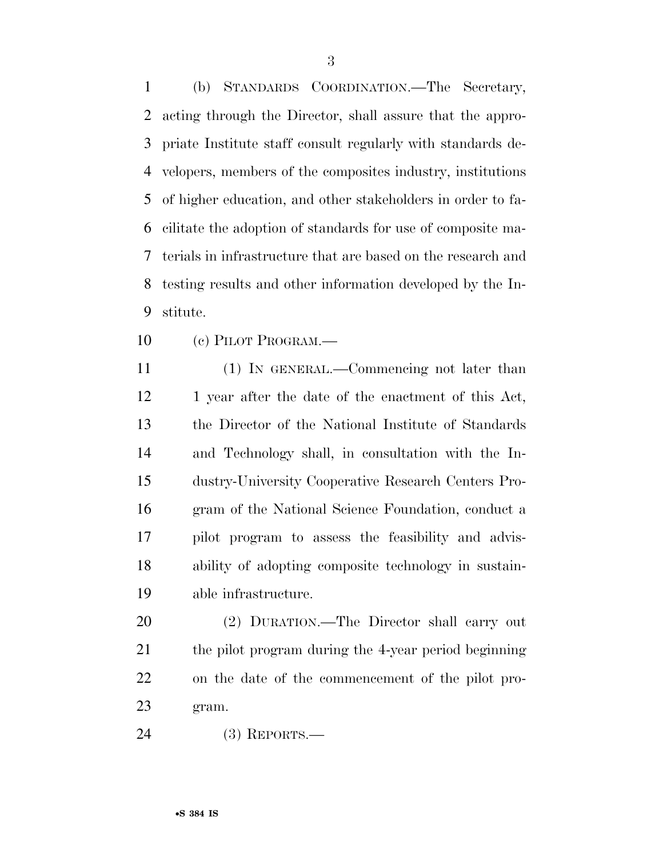(b) STANDARDS COORDINATION.—The Secretary, acting through the Director, shall assure that the appro- priate Institute staff consult regularly with standards de- velopers, members of the composites industry, institutions of higher education, and other stakeholders in order to fa- cilitate the adoption of standards for use of composite ma- terials in infrastructure that are based on the research and testing results and other information developed by the In-stitute.

(c) PILOT PROGRAM.—

 (1) IN GENERAL.—Commencing not later than 12 1 year after the date of the enactment of this Act, the Director of the National Institute of Standards and Technology shall, in consultation with the In- dustry-University Cooperative Research Centers Pro- gram of the National Science Foundation, conduct a pilot program to assess the feasibility and advis- ability of adopting composite technology in sustain-able infrastructure.

 (2) DURATION.—The Director shall carry out the pilot program during the 4-year period beginning on the date of the commencement of the pilot pro-gram.

(3) REPORTS.—